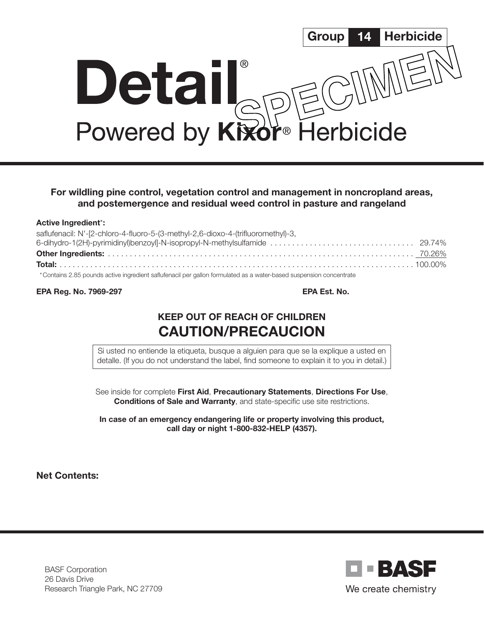

## For wildling pine control, vegetation control and management in noncropland areas, and postemergence and residual weed control in pasture and rangeland

#### Active Ingredient\*:

| saflufenacil: N'-[2-chloro-4-fluoro-5-(3-methyl-2,6-dioxo-4-(trifluoromethyl)-3,                                   |  |
|--------------------------------------------------------------------------------------------------------------------|--|
|                                                                                                                    |  |
|                                                                                                                    |  |
|                                                                                                                    |  |
| *Contains 2.85 pounds active ingredient saflufenacil per gallon formulated as a water-based suspension concentrate |  |

EPA Reg. No. 7969-297 EPA Est. No.

# KEEP OUT OF REACH OF CHILDREN CAUTION/PRECAUCION

Si usted no entiende la etiqueta, busque a alguien para que se la explique a usted en detalle. (If you do not understand the label, find someone to explain it to you in detail.)

See inside for complete First Aid, Precautionary Statements, Directions For Use, Conditions of Sale and Warranty, and state-specific use site restrictions.

In case of an emergency endangering life or property involving this product, call day or night 1-800-832-HELP (4357).

Net Contents:

BASF Corporation 26 Davis Drive Research Triangle Park, NC 27709

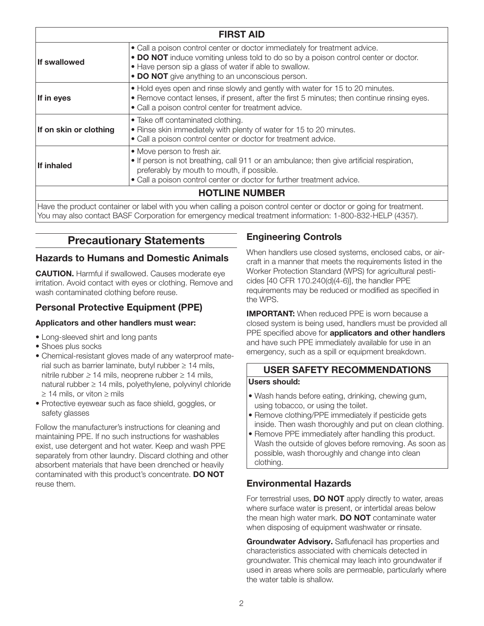| <b>FIRST AID</b>       |                                                                                                                                                                                                                                                                                 |  |  |
|------------------------|---------------------------------------------------------------------------------------------------------------------------------------------------------------------------------------------------------------------------------------------------------------------------------|--|--|
| <b>If swallowed</b>    | • Call a poison control center or doctor immediately for treatment advice.<br>• DO NOT induce vomiting unless told to do so by a poison control center or doctor.<br>• Have person sip a glass of water if able to swallow.<br>• DO NOT give anything to an unconscious person. |  |  |
| If in eyes             | . Hold eyes open and rinse slowly and gently with water for 15 to 20 minutes.<br>. Remove contact lenses, if present, after the first 5 minutes; then continue rinsing eyes.<br>• Call a poison control center for treatment advice.                                            |  |  |
| If on skin or clothing | • Take off contaminated clothing.<br>• Rinse skin immediately with plenty of water for 15 to 20 minutes.<br>• Call a poison control center or doctor for treatment advice.                                                                                                      |  |  |
| If inhaled             | • Move person to fresh air.<br>• If person is not breathing, call 911 or an ambulance; then give artificial respiration,<br>preferably by mouth to mouth, if possible.<br>. Call a poison control center or doctor for further treatment advice.                                |  |  |
| <b>HOTLINE NUMBER</b>  |                                                                                                                                                                                                                                                                                 |  |  |

Have the product container or label with you when calling a poison control center or doctor or going for treatment. You may also contact BASF Corporation for emergency medical treatment information: 1-800-832-HELP (4357).

# Precautionary Statements

### Hazards to Humans and Domestic Animals

**CAUTION.** Harmful if swallowed. Causes moderate eye irritation. Avoid contact with eyes or clothing. Remove and wash contaminated clothing before reuse.

## Personal Protective Equipment (PPE)

### Applicators and other handlers must wear:

- Long-sleeved shirt and long pants
- Shoes plus socks
- Chemical-resistant gloves made of any waterproof material such as barrier laminate, butyl rubber ≥ 14 mils, nitrile rubber ≥ 14 mils, neoprene rubber  $≥$  14 mils, natural rubber ≥ 14 mils, polyethylene, polyvinyl chloride ≥ 14 mils, or viton ≥ mils
- Protective eyewear such as face shield, goggles, or safety glasses

Follow the manufacturer's instructions for cleaning and maintaining PPE. If no such instructions for washables exist, use detergent and hot water. Keep and wash PPE separately from other laundry. Discard clothing and other absorbent materials that have been drenched or heavily contaminated with this product's concentrate. DO NOT reuse them.

# Engineering Controls

When handlers use closed systems, enclosed cabs, or aircraft in a manner that meets the requirements listed in the Worker Protection Standard (WPS) for agricultural pesticides [40 CFR 170.240(d)(4-6)], the handler PPE requirements may be reduced or modified as specified in the WPS.

**IMPORTANT:** When reduced PPE is worn because a closed system is being used, handlers must be provided all PPE specified above for **applicators and other handlers** and have such PPE immediately available for use in an emergency, such as a spill or equipment breakdown.

# USER SAFETY RECOMMENDATIONS

### Users should:

- Wash hands before eating, drinking, chewing gum, using tobacco, or using the toilet.
- Remove clothing/PPE immediately if pesticide gets inside. Then wash thoroughly and put on clean clothing.
- Remove PPE immediately after handling this product. Wash the outside of gloves before removing. As soon as possible, wash thoroughly and change into clean clothing.

### Environmental Hazards

For terrestrial uses, **DO NOT** apply directly to water, areas where surface water is present, or intertidal areas below the mean high water mark. DO NOT contaminate water when disposing of equipment washwater or rinsate.

Groundwater Advisory. Saflufenacil has properties and characteristics associated with chemicals detected in groundwater. This chemical may leach into groundwater if used in areas where soils are permeable, particularly where the water table is shallow.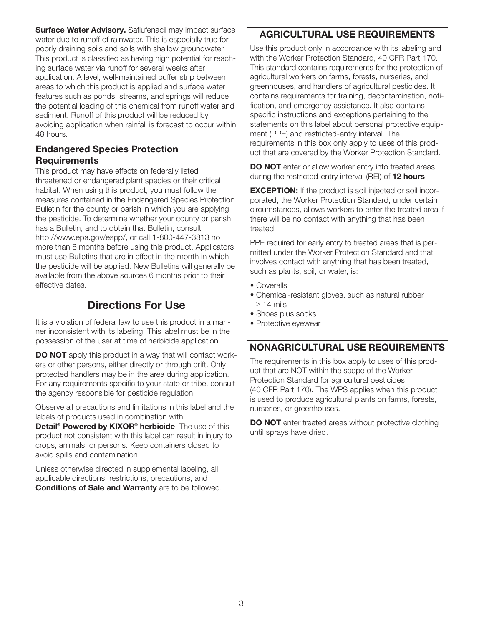Surface Water Advisory. Saflufenacil may impact surface water due to runoff of rainwater. This is especially true for poorly draining soils and soils with shallow groundwater. This product is classified as having high potential for reaching surface water via runoff for several weeks after application. A level, well-maintained buffer strip between areas to which this product is applied and surface water features such as ponds, streams, and springs will reduce the potential loading of this chemical from runoff water and sediment. Runoff of this product will be reduced by avoiding application when rainfall is forecast to occur within 48 hours.

## Endangered Species Protection **Requirements**

This product may have effects on federally listed threatened or endangered plant species or their critical habitat. When using this product, you must follow the measures contained in the Endangered Species Protection Bulletin for the county or parish in which you are applying the pesticide. To determine whether your county or parish has a Bulletin, and to obtain that Bulletin, consult http://www.epa.gov/espp/, or call 1-800-447-3813 no more than 6 months before using this product. Applicators must use Bulletins that are in effect in the month in which the pesticide will be applied. New Bulletins will generally be available from the above sources 6 months prior to their effective dates.

# Directions For Use

It is a violation of federal law to use this product in a manner inconsistent with its labeling. This label must be in the possession of the user at time of herbicide application.

**DO NOT** apply this product in a way that will contact workers or other persons, either directly or through drift. Only protected handlers may be in the area during application. For any requirements specific to your state or tribe, consult the agency responsible for pesticide regulation.

Observe all precautions and limitations in this label and the labels of products used in combination with

Detail<sup>®</sup> Powered by KIXOR<sup>®</sup> herbicide. The use of this product not consistent with this label can result in injury to crops, animals, or persons. Keep containers closed to avoid spills and contamination.

Unless otherwise directed in supplemental labeling, all applicable directions, restrictions, precautions, and **Conditions of Sale and Warranty** are to be followed.

# AGRICULTURAL USE REQUIREMENTS

Use this product only in accordance with its labeling and with the Worker Protection Standard, 40 CFR Part 170. This standard contains requirements for the protection of agricultural workers on farms, forests, nurseries, and greenhouses, and handlers of agricultural pesticides. It contains requirements for training, decontamination, notification, and emergency assistance. It also contains specific instructions and exceptions pertaining to the statements on this label about personal protective equipment (PPE) and restricted-entry interval. The requirements in this box only apply to uses of this product that are covered by the Worker Protection Standard.

DO NOT enter or allow worker entry into treated areas during the restricted-entry interval (REI) of 12 hours.

**EXCEPTION:** If the product is soil injected or soil incorporated, the Worker Protection Standard, under certain circumstances, allows workers to enter the treated area if there will be no contact with anything that has been treated.

PPE required for early entry to treated areas that is permitted under the Worker Protection Standard and that involves contact with anything that has been treated, such as plants, soil, or water, is:

- Coveralls
- Chemical-resistant gloves, such as natural rubber  $\geq$  14 mils
- Shoes plus socks
- Protective eyewear

# NONAGRICULTURAL USE REQUIREMENTS

The requirements in this box apply to uses of this product that are NOT within the scope of the Worker Protection Standard for agricultural pesticides (40 CFR Part 170). The WPS applies when this product is used to produce agricultural plants on farms, forests, nurseries, or greenhouses.

DO NOT enter treated areas without protective clothing until sprays have dried.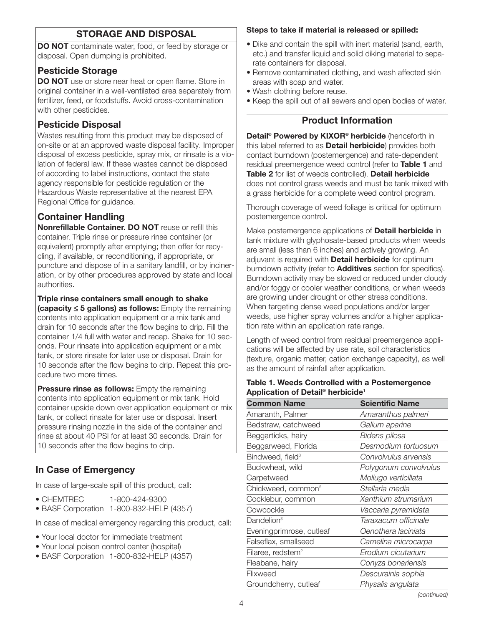# STORAGE AND DISPOSAL

DO NOT contaminate water, food, or feed by storage or disposal. Open dumping is prohibited.

## Pesticide Storage

**DO NOT** use or store near heat or open flame. Store in original container in a well-ventilated area separately from fertilizer, feed, or foodstuffs. Avoid cross-contamination with other pesticides.

# Pesticide Disposal

Wastes resulting from this product may be disposed of on-site or at an approved waste disposal facility. Improper disposal of excess pesticide, spray mix, or rinsate is a violation of federal law. If these wastes cannot be disposed of according to label instructions, contact the state agency responsible for pesticide regulation or the Hazardous Waste representative at the nearest EPA Regional Office for guidance.

# Container Handling

Nonrefillable Container. DO NOT reuse or refill this container. Triple rinse or pressure rinse container (or equivalent) promptly after emptying; then offer for recycling, if available, or reconditioning, if appropriate, or puncture and dispose of in a sanitary landfill, or by incineration, or by other procedures approved by state and local authorities.

### Triple rinse containers small enough to shake

(capacity ≤ 5 gallons) as follows: Empty the remaining contents into application equipment or a mix tank and drain for 10 seconds after the flow begins to drip. Fill the container 1/4 full with water and recap. Shake for 10 seconds. Pour rinsate into application equipment or a mix tank, or store rinsate for later use or disposal. Drain for 10 seconds after the flow begins to drip. Repeat this procedure two more times.

**Pressure rinse as follows:** Empty the remaining contents into application equipment or mix tank. Hold container upside down over application equipment or mix tank, or collect rinsate for later use or disposal. Insert pressure rinsing nozzle in the side of the container and rinse at about 40 PSI for at least 30 seconds. Drain for 10 seconds after the flow begins to drip.

# In Case of Emergency

In case of large-scale spill of this product, call:

- CHEMTREC 1-800-424-9300
- BASF Corporation 1-800-832-HELP (4357)

In case of medical emergency regarding this product, call:

- Your local doctor for immediate treatment
- Your local poison control center (hospital)
- BASF Corporation 1-800-832-HELP (4357)

#### Steps to take if material is released or spilled:

- Dike and contain the spill with inert material (sand, earth, etc.) and transfer liquid and solid diking material to separate containers for disposal.
- Remove contaminated clothing, and wash affected skin areas with soap and water.
- Wash clothing before reuse.
- Keep the spill out of all sewers and open bodies of water.

## Product Information

Detail<sup>®</sup> Powered by KIXOR<sup>®</sup> herbicide (henceforth in this label referred to as **Detail herbicide**) provides both contact burndown (postemergence) and rate-dependent residual preemergence weed control (refer to Table 1 and Table 2 for list of weeds controlled). Detail herbicide does not control grass weeds and must be tank mixed with a grass herbicide for a complete weed control program.

Thorough coverage of weed foliage is critical for optimum postemergence control.

Make postemergence applications of **Detail herbicide** in tank mixture with glyphosate-based products when weeds are small (less than 6 inches) and actively growing. An adjuvant is required with **Detail herbicide** for optimum burndown activity (refer to **Additives** section for specifics). Burndown activity may be slowed or reduced under cloudy and/or foggy or cooler weather conditions, or when weeds are growing under drought or other stress conditions. When targeting dense weed populations and/or larger weeds, use higher spray volumes and/or a higher application rate within an application rate range.

Length of weed control from residual preemergence applications will be affected by use rate, soil characteristics (texture, organic matter, cation exchange capacity), as well as the amount of rainfall after application.

#### Table 1. Weeds Controlled with a Postemergence Application of Detail® herbicide1

| <b>Common Name</b>             | <b>Scientific Name</b> |
|--------------------------------|------------------------|
| Amaranth, Palmer               | Amaranthus palmeri     |
| Bedstraw, catchweed            | Galium aparine         |
| Beggarticks, hairy             | Bidens pilosa          |
| Beggarweed, Florida            | Desmodium tortuosum    |
| Bindweed, field <sup>3</sup>   | Convolvulus arvensis   |
| Buckwheat, wild                | Polygonum convolvulus  |
| Carpetweed                     | Mollugo verticillata   |
| Chickweed, common <sup>2</sup> | Stellaria media        |
| Cocklebur, common              | Xanthium strumarium    |
| Cowcockle                      | Vaccaria pyramidata    |
| Dandelion <sup>3</sup>         | Taraxacum officinale   |
| Eveningprimrose, cutleaf       | Oenothera laciniata    |
| Falseflax, smallseed           | Camelina microcarpa    |
| Filaree, redstem <sup>2</sup>  | Erodium cicutarium     |
| Fleabane, hairy                | Conyza bonariensis     |
| Flixweed                       | Descurainia sophia     |
| Groundcherry, cutleaf          | Physalis angulata      |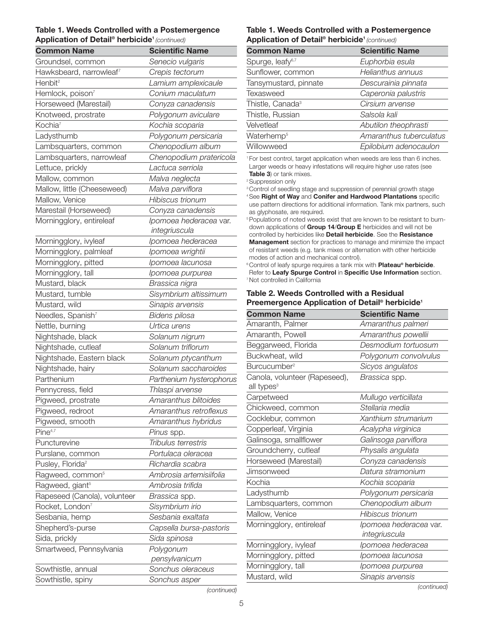#### Table 1. Weeds Controlled with a Postemergence Application of Detail® herbicide<sup>1</sup> (continued)

| <b>Common Name</b>            | <b>Scientific Name</b>   | <b>Common Name</b>                                                                                                                        | <b>Scientific Name</b> |
|-------------------------------|--------------------------|-------------------------------------------------------------------------------------------------------------------------------------------|------------------------|
| Groundsel, common             | Senecio vulgaris         | Spurge, leafy <sup>6,7</sup>                                                                                                              | Euphorbia esula        |
| Hawksbeard, narrowleaf7       | Crepis tectorum          | Sunflower, common                                                                                                                         | Helianthus annuu       |
| Henbit <sup>2</sup>           | Lamium amplexicaule      | Tansymustard, pinnate                                                                                                                     | Descurainia pinna      |
| Hemlock, poison7              | Conium maculatum         | <b>Texasweed</b>                                                                                                                          | Caperonia palusti      |
| Horseweed (Marestail)         | Conyza canadensis        | Thistle, Canada <sup>3</sup>                                                                                                              | Cirsium arvense        |
| Knotweed, prostrate           | Polygonum aviculare      | Thistle, Russian                                                                                                                          | Salsola kali           |
| Kochia <sup>7</sup>           | Kochia scoparia          | Velvetleaf                                                                                                                                | Abutilon theophra      |
| Ladysthumb                    | Polygonum persicaria     | Waterhemp <sup>5</sup>                                                                                                                    | Amaranthus tube        |
| Lambsquarters, common         | Chenopodium album        | Willowweed                                                                                                                                | Epilobium adenod       |
| Lambsquarters, narrowleaf     | Chenopodium pratericola  | <sup>1</sup> For best control, target application when weeds are less than 6                                                              |                        |
| Lettuce, prickly              | Lactuca serriola         | Larger weeds or heavy infestations will require higher use rates                                                                          |                        |
| Mallow, common                | Malva neglecta           | <b>Table 3)</b> or tank mixes.<br><sup>2</sup> Suppression only                                                                           |                        |
| Mallow, little (Cheeseweed)   | Malva parviflora         | <sup>3</sup> Control of seedling stage and suppression of perennial growth                                                                |                        |
| Mallow, Venice                | Hibiscus trionum         | <sup>4</sup> See Right of Way and Conifer and Hardwood Plantations                                                                        |                        |
| Marestail (Horseweed)         | Conyza canadensis        | use pattern directions for additional information. Tank mix partr<br>as glyphosate, are required.                                         |                        |
| Morningglory, entireleaf      | Ipomoea hederacea var.   | <sup>5</sup> Populations of noted weeds exist that are known to be resistar                                                               |                        |
|                               | integriuscula            | down applications of Group 14/Group E herbicides and will no<br>controlled by herbicides like Detail herbicide. See the Resista           |                        |
| Morningglory, ivyleaf         | Ipomoea hederacea        | <b>Management</b> section for practices to manage and minimize the                                                                        |                        |
| Morningglory, palmleaf        | Ipomoea wrightii         | of resistant weeds (e.g. tank mixes or alternation with other her                                                                         |                        |
| Morningglory, pitted          | Ipomoea lacunosa         | modes of action and mechanical control).<br><sup>6</sup> Control of leafy spurge requires a tank mix with <b>Plateau<sup>®</sup> herb</b> |                        |
| Morningglory, tall            | Ipomoea purpurea         | Refer to Leafy Spurge Control in Specific Use Information                                                                                 |                        |
| Mustard, black                | Brassica nigra           | <sup>7</sup> Not controlled in California                                                                                                 |                        |
| Mustard, tumble               | Sisymbrium altissimum    | Table 2. Weeds Controlled with a Residual                                                                                                 |                        |
| Mustard, wild                 | Sinapis arvensis         | Preemergence Application of Detail <sup>®</sup> herbicide                                                                                 |                        |
| Needles, Spanish <sup>7</sup> | Bidens pilosa            | <b>Common Name</b>                                                                                                                        | <b>Scientific Name</b> |
| Nettle, burning               | Urtica urens             | Amaranth, Palmer                                                                                                                          | Amaranthus palm        |
| Nightshade, black             | Solanum nigrum           | Amaranth, Powell                                                                                                                          | Amaranthus pow         |
| Nightshade, cutleaf           | Solanum triflorum        | Beggarweed, Florida                                                                                                                       | Desmodium tortu        |
| Nightshade, Eastern black     | Solanum ptycanthum       | Buckwheat, wild                                                                                                                           | Polygonum convo        |
| Nightshade, hairy             | Solanum saccharoides     | Burcucumber <sup>2</sup>                                                                                                                  | Sicyos angulatos       |
| Parthenium                    | Parthenium hysterophorus | Canola, volunteer (Rapeseed),                                                                                                             | Brassica spp.          |
| Pennycress, field             | Thlaspi arvense          | all types <sup>3</sup>                                                                                                                    |                        |
| Pigweed, prostrate            | Amaranthus blitoides     | Carpetweed                                                                                                                                | Mullugo verticillat    |
| Pigweed, redroot              | Amaranthus retroflexus   | Chickweed, common                                                                                                                         | Stellaria media        |
| Pigweed, smooth               | Amaranthus hybridus      | Cocklebur, common                                                                                                                         | Xanthium strumal       |
| Pine <sup>4,7</sup>           | Pinus spp.               | Copperleaf, Virginia                                                                                                                      | Acalypha virginica     |
| Puncturevine                  | Tribulus terrestris      | Galinsoga, smallflower                                                                                                                    | Galinsoga parvific     |
| Purslane, common              | Portulaca oleracea       | Groundcherry, cutleaf                                                                                                                     | Physalis angulata      |
| Pusley, Florida <sup>2</sup>  | Richardia scabra         | Horseweed (Marestail)                                                                                                                     | Conyza canadens        |
| Ragweed, common <sup>5</sup>  | Ambrosia artemisiifolia  | Jimsonweed                                                                                                                                | Datura stramoniu.      |
| Ragweed, giant <sup>5</sup>   | Ambrosia trifida         | Kochia                                                                                                                                    | Kochia scoparia        |
| Rapeseed (Canola), volunteer  | Brassica spp.            | Ladysthumb                                                                                                                                | Polygonum persid       |
| Rocket, London <sup>7</sup>   | Sisymbrium irio          | Lambsquarters, common                                                                                                                     | Chenopodium alb        |
| Sesbania, hemp                | Sesbania exaltata        | Mallow, Venice                                                                                                                            | Hibiscus trionum       |
| Shepherd's-purse              | Capsella bursa-pastoris  | Morningglory, entireleaf                                                                                                                  | Ipomoea hederac        |
| Sida, prickly                 | Sida spinosa             |                                                                                                                                           | integriuscula          |
| Smartweed, Pennsylvania       | Polygonum                | Morningglory, ivyleaf                                                                                                                     | Ipomoea hederac        |
|                               | pensylvanicum            | Morningglory, pitted                                                                                                                      | Ipomoea lacunos        |
| Sowthistle, annual            | Sonchus oleraceus        | Morningglory, tall                                                                                                                        | Ipomoea purpure        |
| Sowthistle, spiny             | Sonchus asper            | Mustard, wild                                                                                                                             | Sinapis arvensis       |
|                               |                          |                                                                                                                                           |                        |

#### Table 1. Weeds Controlled with a Postemergence Application of Detail® herbicide<sup>1</sup> (continued)

| <b>Scientific Name</b>  |
|-------------------------|
| Euphorbia esula         |
| Helianthus annuus       |
| Descurainia pinnata     |
| Caperonia palustris     |
| Cirsium arvense         |
| Salsola kali            |
| Abutilon theophrasti    |
| Amaranthus tuberculatus |
| Epilobium adenocaulon   |
|                         |

1 For best control, target application when weeds are less than 6 inches. Larger weeds or heavy infestations will require higher use rates (see Table 3) or tank mixes.

<sup>3</sup> Control of seedling stage and suppression of perennial growth stage <sup>4</sup> See Right of Way and Conifer and Hardwood Plantations specific use pattern directions for additional information. Tank mix partners, such as glyphosate, are required.

<sup>5</sup> Populations of noted weeds exist that are known to be resistant to burndown applications of Group 14/Group E herbicides and will not be controlled by herbicides like Detail herbicide. See the Resistance **Management** section for practices to manage and minimize the impact of resistant weeds (e.g. tank mixes or alternation with other herbicide modes of action and mechanical control).

<sup>6</sup> Control of leafy spurge requires a tank mix with **Plateau® herbicide**. Refer to Leafy Spurge Control in Specific Use Information section. 7 Not controlled in California

#### Table 2. Weeds Controlled with a Residual Preemergence Application of Detail® herbicide<sup>1</sup>

| Amaranthus palmeri                                                                                                 |
|--------------------------------------------------------------------------------------------------------------------|
| Amaranthus powellii                                                                                                |
| Desmodium tortuosum                                                                                                |
| Polygonum convolvulus                                                                                              |
| Sicyos angulatos                                                                                                   |
| Brassica spp.                                                                                                      |
| Mullugo verticillata                                                                                               |
| Stellaria media                                                                                                    |
| Xanthium strumarium                                                                                                |
| Acalypha virginica                                                                                                 |
| Galinsoga parviflora                                                                                               |
| Physalis angulata                                                                                                  |
| Conyza canadensis                                                                                                  |
| Datura stramonium                                                                                                  |
| Kochia scoparia                                                                                                    |
| Polygonum persicaria                                                                                               |
| Chenopodium album                                                                                                  |
| Hibiscus trionum                                                                                                   |
| Ipomoea hederacea var.<br>integriuscula                                                                            |
| Ipomoea hederacea                                                                                                  |
| Ipomoea lacunosa                                                                                                   |
| Ipomoea purpurea                                                                                                   |
| Sinapis arvensis<br>$\left( \frac{1}{2} \right)$ and $\left( \frac{1}{2} \right)$ and $\left( \frac{1}{2} \right)$ |
|                                                                                                                    |

(continued)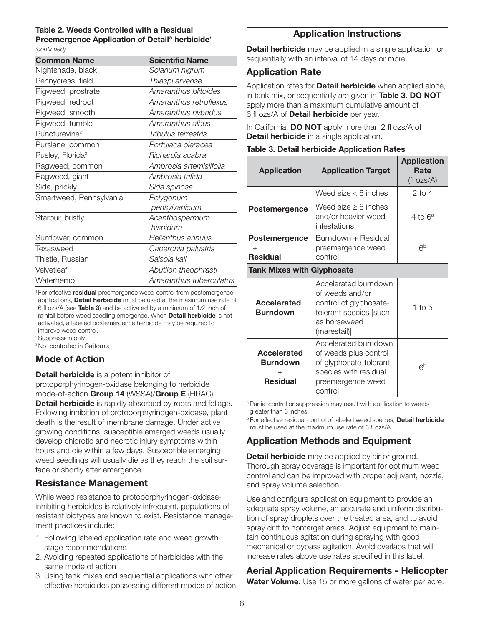### Table 2. Weeds Controlled with a Residual Preemergence Application of Detail<sup>®</sup> herbicide<sup>1</sup>

#### (continued)

| <b>Common Name</b>           | <b>Scientific Name</b>  |
|------------------------------|-------------------------|
| Nightshade, black            | Solanum nigrum          |
| Pennycress, field            | Thlaspi arvense         |
| Pigweed, prostrate           | Amaranthus blitoides    |
| Pigweed, redroot             | Amaranthus retroflexus  |
| Pigweed, smooth              | Amaranthus hybridus     |
| Pigweed, tumble              | Amaranthus albus        |
| Puncturevine <sup>2</sup>    | Tribulus terrestris     |
| Purslane, common             | Portulaca oleracea      |
| Pusley, Florida <sup>2</sup> | Richardia scabra        |
| Ragweed, common              | Ambrosia artemisiifolia |
| Ragweed, giant               | Ambrosia trifida        |
| Sida, prickly                | Sida spinosa            |
| Smartweed, Pennsylvania      | Polygonum               |
|                              | pensylvanicum           |
| Starbur, bristly             | Acanthospermum          |
|                              | hispidum                |
| Sunflower, common            | Helianthus annuus       |
| Texasweed                    | Caperonia palustris     |
| Thistle, Russian             | Salsola kali            |
| Velvetleaf                   | Abutilon theophrasti    |
| Waterhemp                    | Amaranthus tuberculatus |

<sup>1</sup> For effective **residual** preemergence weed control from postemergence applications, Detail herbicide must be used at the maximum use rate of 6 fl ozs/A (see Table 3) and be activated by a minimum of 1/2 inch of rainfall before weed seedling emergence. When Detail herbicide is not activated, a labeled postemergence herbicide may be required to

improve weed control. <sup>2</sup> Suppression only

<sup>3</sup> Not controlled in California

# Mode of Action

Detail herbicide is a potent inhibitor of

protoporphyrinogen-oxidase belonging to herbicide mode-of-action Group 14 (WSSA)/Group E (HRAC). Detail herbicide is rapidly absorbed by roots and foliage. Following inhibition of protoporphyrinogen-oxidase, plant death is the result of membrane damage. Under active growing conditions, susceptible emerged weeds usually develop chlorotic and necrotic injury symptoms within hours and die within a few days. Susceptible emerging weed seedlings will usually die as they reach the soil surface or shortly after emergence.

# Resistance Management

While weed resistance to protoporphyrinogen-oxidaseinhibiting herbicides is relatively infrequent, populations of resistant biotypes are known to exist. Resistance management practices include:

- 1. Following labeled application rate and weed growth stage recommendations
- 2. Avoiding repeated applications of herbicides with the same mode of action
- 3. Using tank mixes and sequential applications with other effective herbicides possessing different modes of action

# Application Instructions

**Detail herbicide** may be applied in a single application or sequentially with an interval of 14 days or more.

## Application Rate

Application rates for **Detail herbicide** when applied alone, in tank mix, or sequentially are given in Table 3. DO NOT apply more than a maximum cumulative amount of 6 fl ozs/A of **Detail herbicide** per year.

In California,  $DO NOT$  apply more than 2 fl ozs/A of **Detail herbicide** in a single application.

### Table 3. Detail herbicide Application Rates

| <b>Application</b>                                                 | <b>Application Target</b>                                                                                                        | <b>Application</b><br>Rate<br>$(fl \ ozs/A)$ |
|--------------------------------------------------------------------|----------------------------------------------------------------------------------------------------------------------------------|----------------------------------------------|
|                                                                    | Weed size $<$ 6 inches                                                                                                           | $2$ to $4$                                   |
| Postemergence                                                      | Weed size $\geq 6$ inches<br>and/or heavier weed<br>infestations                                                                 | 4 to $6^a$                                   |
| <b>Postemergence</b><br><b>Residual</b>                            | Burndown + Residual<br>preemergence weed<br>control                                                                              | 6p                                           |
| <b>Tank Mixes with Glyphosate</b>                                  |                                                                                                                                  |                                              |
| <b>Accelerated</b><br><b>Burndown</b>                              | Accelerated burndown<br>of weeds and/or<br>control of glyphosate-<br>tolerant species [such<br>as horseweed<br>(marestail)]      | 1 to $5$                                     |
| <b>Accelerated</b><br><b>Burndown</b><br>$^{+}$<br><b>Residual</b> | Accelerated burndown<br>of weeds plus control<br>of glyphosate-tolerant<br>species with residual<br>preemergence weed<br>control | 6 <sup>b</sup>                               |

a Partial control or suppression may result with application to weeds greater than 6 inches.

**b** For effective residual control of labeled weed species. **Detail herbicide** must be used at the maximum use rate of 6 fl ozs/A.

# Application Methods and Equipment

**Detail herbicide** may be applied by air or ground. Thorough spray coverage is important for optimum weed control and can be improved with proper adjuvant, nozzle, and spray volume selection.

Use and configure application equipment to provide an adequate spray volume, an accurate and uniform distribution of spray droplets over the treated area, and to avoid spray drift to nontarget areas. Adjust equipment to maintain continuous agitation during spraying with good mechanical or bypass agitation. Avoid overlaps that will increase rates above use rates specified in this label.

# Aerial Application Requirements - Helicopter

Water Volume. Use 15 or more gallons of water per acre.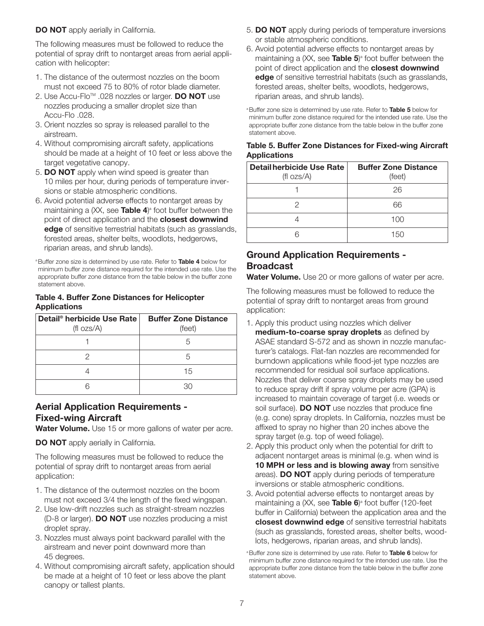### DO NOT apply aerially in California.

The following measures must be followed to reduce the potential of spray drift to nontarget areas from aerial application with helicopter:

- 1. The distance of the outermost nozzles on the boom must not exceed 75 to 80% of rotor blade diameter.
- 2. Use Accu-Flo<sup>™</sup> .028 nozzles or larger. **DO NOT** use nozzles producing a smaller droplet size than Accu-Flo .028.
- 3. Orient nozzles so spray is released parallel to the airstream.
- 4. Without compromising aircraft safety, applications should be made at a height of 10 feet or less above the target vegetative canopy.
- 5. DO NOT apply when wind speed is greater than 10 miles per hour, during periods of temperature inversions or stable atmospheric conditions.
- 6. Avoid potential adverse effects to nontarget areas by maintaining a (XX, see **Table 4**)<sup>a</sup> foot buffer between the point of direct application and the closest downwind edge of sensitive terrestrial habitats (such as grasslands, forested areas, shelter belts, woodlots, hedgerows, riparian areas, and shrub lands).

<sup>a</sup> Buffer zone size is determined by use rate. Refer to Table 4 below for minimum buffer zone distance required for the intended use rate. Use the appropriate buffer zone distance from the table below in the buffer zone statement above.

#### Table 4. Buffer Zone Distances for Helicopter Applications

| Detail <sup>®</sup> herbicide Use Rate<br>$(fl \ ozs/A)$ | <b>Buffer Zone Distance</b><br>(feet) |
|----------------------------------------------------------|---------------------------------------|
|                                                          | 5                                     |
|                                                          | 5                                     |
|                                                          | 15                                    |
|                                                          | 30                                    |

## Aerial Application Requirements - Fixed-wing Aircraft

Water Volume. Use 15 or more gallons of water per acre.

DO NOT apply aerially in California.

The following measures must be followed to reduce the potential of spray drift to nontarget areas from aerial application:

- 1. The distance of the outermost nozzles on the boom must not exceed 3/4 the length of the fixed wingspan.
- 2. Use low-drift nozzles such as straight-stream nozzles (D-8 or larger). DO NOT use nozzles producing a mist droplet spray.
- 3. Nozzles must always point backward parallel with the airstream and never point downward more than 45 degrees.
- 4. Without compromising aircraft safety, application should be made at a height of 10 feet or less above the plant canopy or tallest plants.
- 5. DO NOT apply during periods of temperature inversions or stable atmospheric conditions.
- 6. Avoid potential adverse effects to nontarget areas by maintaining a (XX, see **Table 5**)<sup>a</sup> foot buffer between the point of direct application and the **closest downwind** edge of sensitive terrestrial habitats (such as grasslands, forested areas, shelter belts, woodlots, hedgerows, riparian areas, and shrub lands).

<sup>a</sup> Buffer zone size is determined by use rate. Refer to Table 5 below for minimum buffer zone distance required for the intended use rate. Use the appropriate buffer zone distance from the table below in the buffer zone statement above.

### Table 5. Buffer Zone Distances for Fixed-wing Aircraft **Applications**

| <b>Detail herbicide Use Rate</b> | <b>Buffer Zone Distance</b> |  |
|----------------------------------|-----------------------------|--|
| $(fl \space ozs/A)$              | (feet)                      |  |
|                                  | 26                          |  |
|                                  | 66                          |  |
|                                  | 100                         |  |
|                                  | 150                         |  |

# Ground Application Requirements - Broadcast

Water Volume. Use 20 or more gallons of water per acre.

The following measures must be followed to reduce the potential of spray drift to nontarget areas from ground application:

- 1. Apply this product using nozzles which deliver medium-to-coarse spray droplets as defined by ASAE standard S-572 and as shown in nozzle manufacturer's catalogs. Flat-fan nozzles are recommended for burndown applications while flood-jet type nozzles are recommended for residual soil surface applications. Nozzles that deliver coarse spray droplets may be used to reduce spray drift if spray volume per acre (GPA) is increased to maintain coverage of target (i.e. weeds or soil surface). DO NOT use nozzles that produce fine (e.g. cone) spray droplets. In California, nozzles must be affixed to spray no higher than 20 inches above the spray target (e.g. top of weed foliage).
- 2. Apply this product only when the potential for drift to adjacent nontarget areas is minimal (e.g. when wind is 10 MPH or less and is blowing away from sensitive areas). DO NOT apply during periods of temperature inversions or stable atmospheric conditions.
- 3. Avoid potential adverse effects to nontarget areas by maintaining a (XX, see **Table 6**)<sup>a</sup> foot buffer (120-feet buffer in California) between the application area and the closest downwind edge of sensitive terrestrial habitats (such as grasslands, forested areas, shelter belts, woodlots, hedgerows, riparian areas, and shrub lands).

<sup>a</sup> Buffer zone size is determined by use rate. Refer to Table 6 below for minimum buffer zone distance required for the intended use rate. Use the appropriate buffer zone distance from the table below in the buffer zone statement above.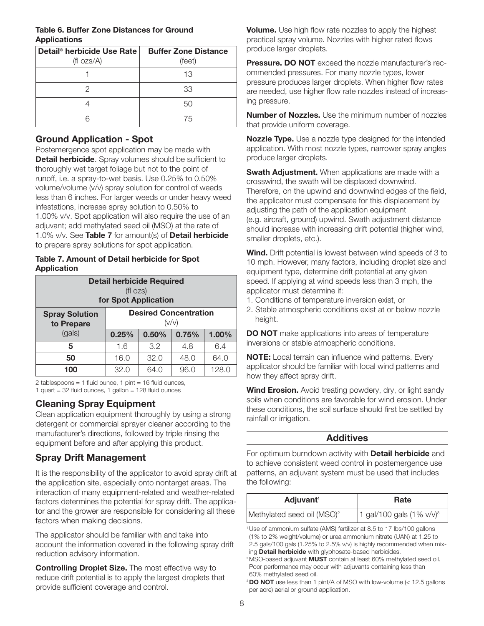### Table 6. Buffer Zone Distances for Ground **Applications**

| Detail <sup>®</sup> herbicide Use Rate | <b>Buffer Zone Distance</b> |
|----------------------------------------|-----------------------------|
| $(fl \space ozs/A)$                    | (feet)                      |
|                                        | 13                          |
|                                        | 33                          |
|                                        | 50                          |
|                                        | 75                          |

# Ground Application - Spot

Postemergence spot application may be made with Detail herbicide. Spray volumes should be sufficient to thoroughly wet target foliage but not to the point of runoff, i.e. a spray-to-wet basis. Use 0.25% to 0.50% volume/volume (v/v) spray solution for control of weeds less than 6 inches. For larger weeds or under heavy weed infestations, increase spray solution to 0.50% to 1.00% v/v. Spot application will also require the use of an adjuvant; add methylated seed oil (MSO) at the rate of 1.0% v/v. See Table 7 for amount(s) of Detail herbicide to prepare spray solutions for spot application.

#### Table 7. Amount of Detail herbicide for Spot Application

| <b>Detail herbicide Required</b><br>$(fI \, ozs)$<br>for Spot Application |                                       |       |       |       |
|---------------------------------------------------------------------------|---------------------------------------|-------|-------|-------|
| <b>Spray Solution</b><br>to Prepare                                       | <b>Desired Concentration</b><br>(v/v) |       |       |       |
| (gals)                                                                    | 0.25%                                 | 0.50% | 0.75% | 1.00% |
| 5                                                                         | 1.6                                   | 3.2   | 4.8   | 6.4   |
| 50                                                                        | 16.0                                  | 32.0  | 48.0  | 64.0  |
| 100                                                                       | 32.0                                  | 64.0  | 96.0  | 128.0 |

2 tablespoons = 1 fluid ounce, 1 pint = 16 fluid ounces, 1 quart =  $32$  fluid ounces, 1 gallon =  $128$  fluid ounces

# Cleaning Spray Equipment

Clean application equipment thoroughly by using a strong detergent or commercial sprayer cleaner according to the manufacturer's directions, followed by triple rinsing the equipment before and after applying this product.

# Spray Drift Management

It is the responsibility of the applicator to avoid spray drift at the application site, especially onto nontarget areas. The interaction of many equipment-related and weather-related factors determines the potential for spray drift. The applicator and the grower are responsible for considering all these factors when making decisions.

The applicator should be familiar with and take into account the information covered in the following spray drift reduction advisory information.

**Controlling Droplet Size.** The most effective way to reduce drift potential is to apply the largest droplets that provide sufficient coverage and control.

Volume. Use high flow rate nozzles to apply the highest practical spray volume. Nozzles with higher rated flows produce larger droplets.

Pressure. DO NOT exceed the nozzle manufacturer's recommended pressures. For many nozzle types, lower pressure produces larger droplets. When higher flow rates are needed, use higher flow rate nozzles instead of increasing pressure.

**Number of Nozzles.** Use the minimum number of nozzles that provide uniform coverage.

Nozzle Type. Use a nozzle type designed for the intended application. With most nozzle types, narrower spray angles produce larger droplets.

**Swath Adjustment.** When applications are made with a crosswind, the swath will be displaced downwind. Therefore, on the upwind and downwind edges of the field, the applicator must compensate for this displacement by adjusting the path of the application equipment (e.g. aircraft, ground) upwind. Swath adjustment distance should increase with increasing drift potential (higher wind, smaller droplets, etc.).

Wind. Drift potential is lowest between wind speeds of 3 to 10 mph. However, many factors, including droplet size and equipment type, determine drift potential at any given speed. If applying at wind speeds less than 3 mph, the applicator must determine if:

- 1. Conditions of temperature inversion exist, or
- 2. Stable atmospheric conditions exist at or below nozzle height.

**DO NOT** make applications into areas of temperature inversions or stable atmospheric conditions.

NOTE: Local terrain can influence wind patterns. Every applicator should be familiar with local wind patterns and how they affect spray drift.

**Wind Erosion.** Avoid treating powdery, dry, or light sandy soils when conditions are favorable for wind erosion. Under these conditions, the soil surface should first be settled by rainfall or irrigation.

### Additives

For optimum burndown activity with **Detail herbicide** and to achieve consistent weed control in postemergence use patterns, an adjuvant system must be used that includes the following:

| Adjuvant <sup>1</sup>                  | Rate                                 |
|----------------------------------------|--------------------------------------|
| Methylated seed oil (MSO) <sup>2</sup> | 1 gal/100 gals $(1\% \text{ v/v})^3$ |

<sup>1</sup>Use of ammonium sulfate (AMS) fertilizer at 8.5 to 17 lbs/100 gallons (1% to 2% weight/volume) or urea ammonium nitrate (UAN) at 1.25 to 2.5 gals/100 gals (1.25% to 2.5% v/v) is highly recommended when mixing Detail herbicide with glyphosate-based herbicides.

<sup>2</sup>MSO-based adjuvant **MUST** contain at least 60% methylated seed oil. Poor performance may occur with adjuvants containing less than 60% methylated seed oil.

<sup>3</sup> DO NOT use less than 1 pint/A of MSO with low-volume (< 12.5 gallons per acre) aerial or ground application.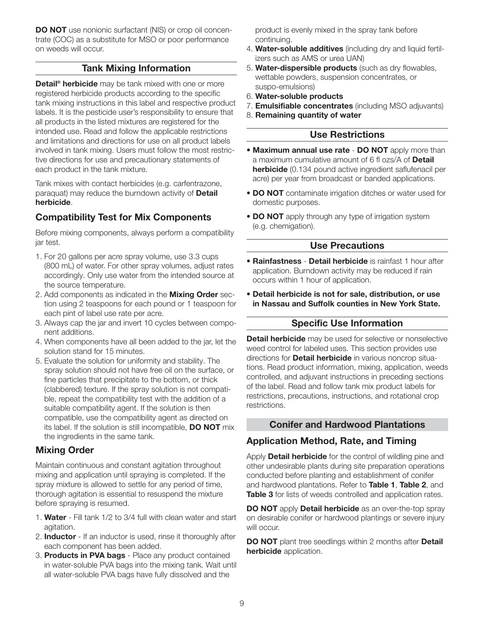DO NOT use nonionic surfactant (NIS) or crop oil concentrate (COC) as a substitute for MSO or poor performance on weeds will occur.

## Tank Mixing Information

Detail<sup>®</sup> herbicide may be tank mixed with one or more registered herbicide products according to the specific tank mixing instructions in this label and respective product labels. It is the pesticide user's responsibility to ensure that all products in the listed mixtures are registered for the intended use. Read and follow the applicable restrictions and limitations and directions for use on all product labels involved in tank mixing. Users must follow the most restrictive directions for use and precautionary statements of each product in the tank mixture.

Tank mixes with contact herbicides (e.g. carfentrazone, paraquat) may reduce the burndown activity of Detail herbicide.

## Compatibility Test for Mix Components

Before mixing components, always perform a compatibility jar test.

- 1. For 20 gallons per acre spray volume, use 3.3 cups (800 mL) of water. For other spray volumes, adjust rates accordingly. Only use water from the intended source at the source temperature.
- 2. Add components as indicated in the **Mixing Order** section using 2 teaspoons for each pound or 1 teaspoon for each pint of label use rate per acre.
- 3. Always cap the jar and invert 10 cycles between component additions.
- 4. When components have all been added to the jar, let the solution stand for 15 minutes.
- 5. Evaluate the solution for uniformity and stability. The spray solution should not have free oil on the surface, or fine particles that precipitate to the bottom, or thick (clabbered) texture. If the spray solution is not compatible, repeat the compatibility test with the addition of a suitable compatibility agent. If the solution is then compatible, use the compatibility agent as directed on its label. If the solution is still incompatible, **DO NOT** mix the ingredients in the same tank.

# Mixing Order

Maintain continuous and constant agitation throughout mixing and application until spraying is completed. If the spray mixture is allowed to settle for any period of time, thorough agitation is essential to resuspend the mixture before spraying is resumed.

- 1. Water Fill tank 1/2 to 3/4 full with clean water and start agitation.
- 2. **Inductor** If an inductor is used, rinse it thoroughly after each component has been added.
- 3. Products in PVA bags Place any product contained in water-soluble PVA bags into the mixing tank. Wait until all water-soluble PVA bags have fully dissolved and the

product is evenly mixed in the spray tank before continuing.

- 4. Water-soluble additives (including dry and liquid fertilizers such as AMS or urea UAN)
- 5. Water-dispersible products (such as dry flowables, wettable powders, suspension concentrates, or suspo-emulsions)
- 6. Water-soluble products
- 7. **Emulsifiable concentrates** (including MSO adjuvants)
- 8. Remaining quantity of water

# Use Restrictions

- Maximum annual use rate DO NOT apply more than a maximum cumulative amount of 6 fl ozs/A of Detail herbicide (0.134 pound active ingredient saflufenacil per acre) per year from broadcast or banded applications.
- DO NOT contaminate irrigation ditches or water used for domestic purposes.
- DO NOT apply through any type of irrigation system (e.g. chemigation).

# Use Precautions

- **Rainfastness Detail herbicide** is rainfast 1 hour after application. Burndown activity may be reduced if rain occurs within 1 hour of application.
- Detail herbicide is not for sale, distribution, or use in Nassau and Suffolk counties in New York State.

# Specific Use Information

Detail herbicide may be used for selective or nonselective weed control for labeled uses. This section provides use directions for **Detail herbicide** in various noncrop situations. Read product information, mixing, application, weeds controlled, and adjuvant instructions in preceding sections of the label. Read and follow tank mix product labels for restrictions, precautions, instructions, and rotational crop restrictions.

# Conifer and Hardwood Plantations

# Application Method, Rate, and Timing

Apply Detail herbicide for the control of wildling pine and other undesirable plants during site preparation operations conducted before planting and establishment of conifer and hardwood plantations. Refer to Table 1, Table 2, and Table 3 for lists of weeds controlled and application rates.

DO NOT apply Detail herbicide as an over-the-top spray on desirable conifer or hardwood plantings or severe injury will occur.

DO NOT plant tree seedlings within 2 months after Detail herbicide application.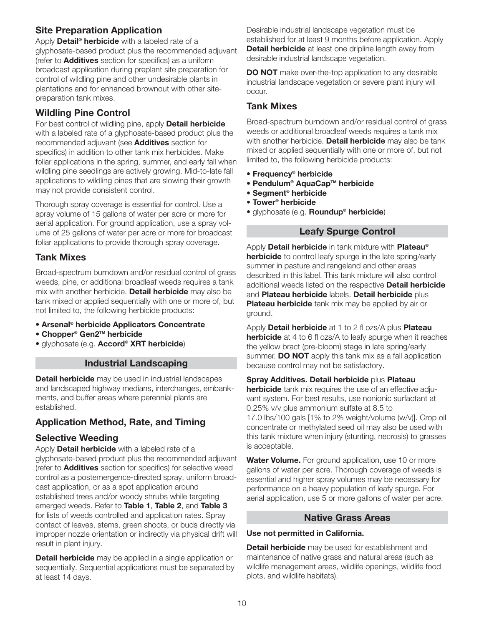# Site Preparation Application

Apply **Detail<sup>®</sup> herbicide** with a labeled rate of a glyphosate-based product plus the recommended adjuvant (refer to **Additives** section for specifics) as a uniform broadcast application during preplant site preparation for control of wildling pine and other undesirable plants in plantations and for enhanced brownout with other sitepreparation tank mixes.

# Wildling Pine Control

For best control of wildling pine, apply **Detail herbicide** with a labeled rate of a glyphosate-based product plus the recommended adjuvant (see **Additives** section for specifics) in addition to other tank mix herbicides. Make foliar applications in the spring, summer, and early fall when wildling pine seedlings are actively growing. Mid-to-late fall applications to wildling pines that are slowing their growth may not provide consistent control.

Thorough spray coverage is essential for control. Use a spray volume of 15 gallons of water per acre or more for aerial application. For ground application, use a spray volume of 25 gallons of water per acre or more for broadcast foliar applications to provide thorough spray coverage.

# Tank Mixes

Broad-spectrum burndown and/or residual control of grass weeds, pine, or additional broadleaf weeds requires a tank mix with another herbicide. Detail herbicide may also be tank mixed or applied sequentially with one or more of, but not limited to, the following herbicide products:

- Arsenal® herbicide Applicators Concentrate
- Chopper® Gen2TM herbicide
- glyphosate (e.g. **Accord<sup>®</sup> XRT herbicide**)

### Industrial Landscaping

Detail herbicide may be used in industrial landscapes and landscaped highway medians, interchanges, embankments, and buffer areas where perennial plants are established.

# Application Method, Rate, and Timing

# Selective Weeding

Apply **Detail herbicide** with a labeled rate of a glyphosate-based product plus the recommended adjuvant (refer to **Additives** section for specifics) for selective weed control as a postemergence-directed spray, uniform broadcast application, or as a spot application around established trees and/or woody shrubs while targeting emerged weeds. Refer to Table 1, Table 2, and Table 3 for lists of weeds controlled and application rates. Spray contact of leaves, stems, green shoots, or buds directly via improper nozzle orientation or indirectly via physical drift will result in plant injury.

Detail herbicide may be applied in a single application or sequentially. Sequential applications must be separated by at least 14 days.

Desirable industrial landscape vegetation must be established for at least 9 months before application. Apply **Detail herbicide** at least one dripline length away from desirable industrial landscape vegetation.

**DO NOT** make over-the-top application to any desirable industrial landscape vegetation or severe plant injury will occur.

## Tank Mixes

Broad-spectrum burndown and/or residual control of grass weeds or additional broadleaf weeds requires a tank mix with another herbicide. Detail herbicide may also be tank mixed or applied sequentially with one or more of, but not limited to, the following herbicide products:

- Frequency® herbicide
- Pendulum<sup>®</sup> AquaCap™ herbicide
- Segment® herbicide
- Tower® herbicide
- glyphosate (e.g. Roundup<sup>®</sup> herbicide)

## Leafy Spurge Control

Apply Detail herbicide in tank mixture with Plateau® herbicide to control leafy spurge in the late spring/early summer in pasture and rangeland and other areas described in this label. This tank mixture will also control additional weeds listed on the respective **Detail herbicide** and Plateau herbicide labels. Detail herbicide plus Plateau herbicide tank mix may be applied by air or ground.

Apply Detail herbicide at 1 to 2 fl ozs/A plus Plateau herbicide at 4 to 6 fl ozs/A to leafy spurge when it reaches the yellow bract (pre-bloom) stage in late spring/early summer. **DO NOT** apply this tank mix as a fall application because control may not be satisfactory.

Spray Additives. Detail herbicide plus Plateau herbicide tank mix requires the use of an effective adjuvant system. For best results, use nonionic surfactant at 0.25% v/v plus ammonium sulfate at 8.5 to 17.0 lbs/100 gals [1% to 2% weight/volume (w/v)]. Crop oil concentrate or methylated seed oil may also be used with this tank mixture when injury (stunting, necrosis) to grasses is acceptable.

Water Volume. For ground application, use 10 or more gallons of water per acre. Thorough coverage of weeds is essential and higher spray volumes may be necessary for performance on a heavy population of leafy spurge. For aerial application, use 5 or more gallons of water per acre.

# Native Grass Areas

### Use not permitted in California.

Detail herbicide may be used for establishment and maintenance of native grass and natural areas (such as wildlife management areas, wildlife openings, wildlife food plots, and wildlife habitats).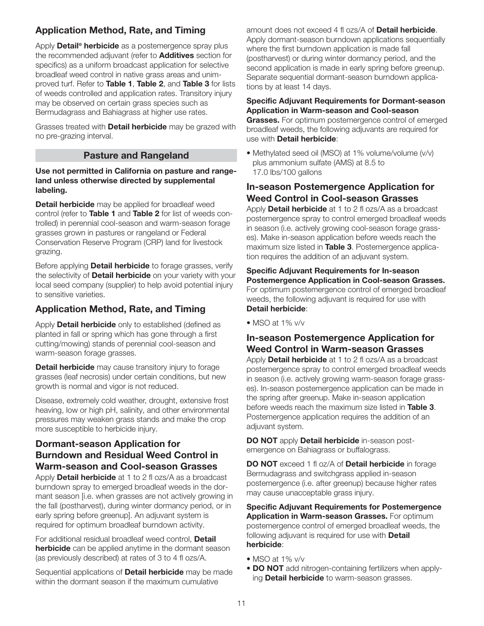# Application Method, Rate, and Timing

Apply **Detail<sup>®</sup> herbicide** as a postemergence spray plus the recommended adjuvant (refer to **Additives** section for specifics) as a uniform broadcast application for selective broadleaf weed control in native grass areas and unimproved turf. Refer to Table 1, Table 2, and Table 3 for lists of weeds controlled and application rates. Transitory injury may be observed on certain grass species such as Bermudagrass and Bahiagrass at higher use rates.

Grasses treated with **Detail herbicide** may be grazed with no pre-grazing interval.

### Pasture and Rangeland

#### Use not permitted in California on pasture and rangeland unless otherwise directed by supplemental labeling.

**Detail herbicide** may be applied for broadleaf weed control (refer to Table 1 and Table 2 for list of weeds controlled) in perennial cool-season and warm-season forage grasses grown in pastures or rangeland or Federal Conservation Reserve Program (CRP) land for livestock grazing.

Before applying **Detail herbicide** to forage grasses, verify the selectivity of **Detail herbicide** on your variety with your local seed company (supplier) to help avoid potential injury to sensitive varieties.

## Application Method, Rate, and Timing

Apply **Detail herbicide** only to established (defined as planted in fall or spring which has gone through a first cutting/mowing) stands of perennial cool-season and warm-season forage grasses.

**Detail herbicide** may cause transitory injury to forage grasses (leaf necrosis) under certain conditions, but new growth is normal and vigor is not reduced.

Disease, extremely cold weather, drought, extensive frost heaving, low or high pH, salinity, and other environmental pressures may weaken grass stands and make the crop more susceptible to herbicide injury.

### Dormant-season Application for Burndown and Residual Weed Control in Warm-season and Cool-season Grasses

Apply **Detail herbicide** at 1 to 2 fl ozs/A as a broadcast burndown spray to emerged broadleaf weeds in the dormant season [i.e. when grasses are not actively growing in the fall (postharvest), during winter dormancy period, or in early spring before greenup]. An adjuvant system is required for optimum broadleaf burndown activity.

For additional residual broadleaf weed control, Detail **herbicide** can be applied anytime in the dormant season (as previously described) at rates of 3 to 4 fl ozs/A.

Sequential applications of **Detail herbicide** may be made within the dormant season if the maximum cumulative

amount does not exceed 4 fl ozs/A of **Detail herbicide**. Apply dormant-season burndown applications sequentially where the first burndown application is made fall (postharvest) or during winter dormancy period, and the second application is made in early spring before greenup. Separate sequential dormant-season burndown applications by at least 14 days.

#### Specific Adjuvant Requirements for Dormant-season Application in Warm-season and Cool-season

**Grasses.** For optimum postemergence control of emerged broadleaf weeds, the following adjuvants are required for use with **Detail herbicide**:

• Methylated seed oil (MSO) at 1% volume/volume (v/v) plus ammonium sulfate (AMS) at 8.5 to 17.0 lbs/100 gallons

### In-season Postemergence Application for Weed Control in Cool-season Grasses

Apply **Detail herbicide** at 1 to 2 fl ozs/A as a broadcast postemergence spray to control emerged broadleaf weeds in season (i.e. actively growing cool-season forage grasses). Make in-season application before weeds reach the maximum size listed in Table 3. Postemergence application requires the addition of an adjuvant system.

Specific Adjuvant Requirements for In-season Postemergence Application in Cool-season Grasses. For optimum postemergence control of emerged broadleaf weeds, the following adjuvant is required for use with Detail herbicide:

• MSO at 1% v/v

### In-season Postemergence Application for Weed Control in Warm-season Grasses

Apply **Detail herbicide** at 1 to 2 fl ozs/A as a broadcast postemergence spray to control emerged broadleaf weeds in season (i.e. actively growing warm-season forage grasses). In-season postemergence application can be made in the spring after greenup. Make in-season application before weeds reach the maximum size listed in Table 3. Postemergence application requires the addition of an adjuvant system.

DO NOT apply Detail herbicide in-season postemergence on Bahiagrass or buffalograss.

DO NOT exceed 1 fl oz/A of Detail herbicide in forage Bermudagrass and switchgrass applied in-season postemergence (i.e. after greenup) because higher rates may cause unacceptable grass injury.

Specific Adjuvant Requirements for Postemergence Application in Warm-season Grasses. For optimum postemergence control of emerged broadleaf weeds, the following adjuvant is required for use with **Detail** herbicide:

- MSO at 1% v/v
- DO NOT add nitrogen-containing fertilizers when applying Detail herbicide to warm-season grasses.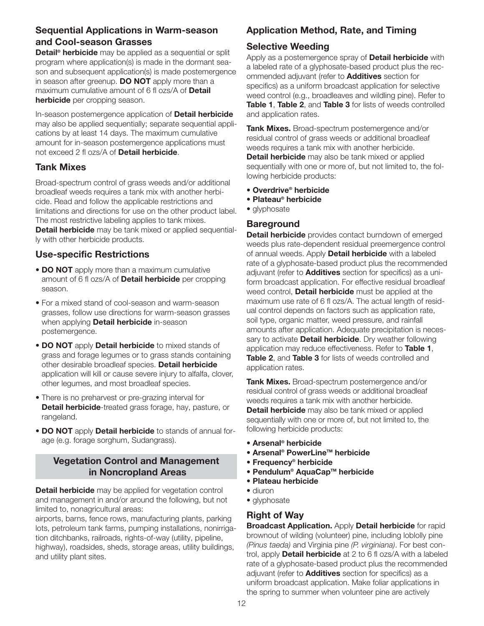## Sequential Applications in Warm-season and Cool-season Grasses

Detail<sup>®</sup> herbicide may be applied as a sequential or split program where application(s) is made in the dormant season and subsequent application(s) is made postemergence in season after greenup. DO NOT apply more than a maximum cumulative amount of 6 fl ozs/A of Detail herbicide per cropping season.

In-season postemergence application of **Detail herbicide** may also be applied sequentially; separate sequential applications by at least 14 days. The maximum cumulative amount for in-season postemergence applications must not exceed 2 fl ozs/A of **Detail herbicide**.

## Tank Mixes

Broad-spectrum control of grass weeds and/or additional broadleaf weeds requires a tank mix with another herbicide. Read and follow the applicable restrictions and limitations and directions for use on the other product label. The most restrictive labeling applies to tank mixes. Detail herbicide may be tank mixed or applied sequentially with other herbicide products.

# Use-specific Restrictions

- DO NOT apply more than a maximum cumulative amount of 6 fl ozs/A of **Detail herbicide** per cropping season.
- For a mixed stand of cool-season and warm-season grasses, follow use directions for warm-season grasses when applying **Detail herbicide** in-season postemergence.
- DO NOT apply Detail herbicide to mixed stands of grass and forage legumes or to grass stands containing other desirable broadleaf species. Detail herbicide application will kill or cause severe injury to alfalfa, clover, other legumes, and most broadleaf species.
- There is no preharvest or pre-grazing interval for **Detail herbicide-treated grass forage, hay, pasture, or** rangeland.
- DO NOT apply Detail herbicide to stands of annual forage (e.g. forage sorghum, Sudangrass).

## Vegetation Control and Management in Noncropland Areas

Detail herbicide may be applied for vegetation control and management in and/or around the following, but not limited to, nonagricultural areas:

airports, barns, fence rows, manufacturing plants, parking lots, petroleum tank farms, pumping installations, nonirrigation ditchbanks, railroads, rights-of-way (utility, pipeline, highway), roadsides, sheds, storage areas, utility buildings, and utility plant sites.

# Application Method, Rate, and Timing

## Selective Weeding

Apply as a postemergence spray of **Detail herbicide** with a labeled rate of a glyphosate-based product plus the recommended adjuvant (refer to **Additives** section for specifics) as a uniform broadcast application for selective weed control (e.g., broadleaves and wildling pine). Refer to Table 1, Table 2, and Table 3 for lists of weeds controlled and application rates.

Tank Mixes. Broad-spectrum postemergence and/or residual control of grass weeds or additional broadleaf weeds requires a tank mix with another herbicide. Detail herbicide may also be tank mixed or applied sequentially with one or more of, but not limited to, the following herbicide products:

- Overdrive® herbicide
- Plateau® herbicide
- glyphosate

### **Bareground**

Detail herbicide provides contact burndown of emerged weeds plus rate-dependent residual preemergence control of annual weeds. Apply **Detail herbicide** with a labeled rate of a glyphosate-based product plus the recommended adjuvant (refer to **Additives** section for specifics) as a uniform broadcast application. For effective residual broadleaf weed control, **Detail herbicide** must be applied at the maximum use rate of 6 fl ozs/A. The actual length of residual control depends on factors such as application rate, soil type, organic matter, weed pressure, and rainfall amounts after application. Adequate precipitation is necessary to activate **Detail herbicide**. Dry weather following application may reduce effectiveness. Refer to Table 1, Table 2, and Table 3 for lists of weeds controlled and application rates.

Tank Mixes. Broad-spectrum postemergence and/or residual control of grass weeds or additional broadleaf weeds requires a tank mix with another herbicide. **Detail herbicide** may also be tank mixed or applied sequentially with one or more of, but not limited to, the following herbicide products:

- Arsenal® herbicide
- Arsenal<sup>®</sup> PowerLine™ herbicide
- Frequency® herbicide
- Pendulum<sup>®</sup> AquaCap™ herbicide
- Plateau herbicide
- diuron
- glyphosate

### Right of Way

**Broadcast Application.** Apply Detail herbicide for rapid brownout of wilding (volunteer) pine, including loblolly pine (Pinus taeda) and Virginia pine (P. virginiana). For best control, apply **Detail herbicide** at 2 to 6 fl ozs/A with a labeled rate of a glyphosate-based product plus the recommended adjuvant (refer to **Additives** section for specifics) as a uniform broadcast application. Make foliar applications in the spring to summer when volunteer pine are actively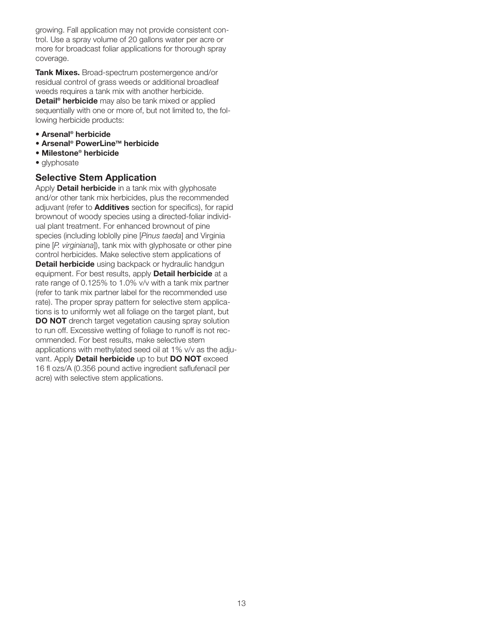growing. Fall application may not provide consistent control. Use a spray volume of 20 gallons water per acre or more for broadcast foliar applications for thorough spray coverage.

Tank Mixes. Broad-spectrum postemergence and/or residual control of grass weeds or additional broadleaf weeds requires a tank mix with another herbicide. Detail<sup>®</sup> herbicide may also be tank mixed or applied sequentially with one or more of, but not limited to, the following herbicide products:

- Arsenal® herbicide
- Arsenal<sup>®</sup> PowerLine<sup>™</sup> herbicide
- Milestone® herbicide
- glyphosate

### Selective Stem Application

Apply **Detail herbicide** in a tank mix with glyphosate and/or other tank mix herbicides, plus the recommended adjuvant (refer to **Additives** section for specifics), for rapid brownout of woody species using a directed-foliar individual plant treatment. For enhanced brownout of pine species (including loblolly pine [Pinus taeda] and Virginia pine [P. virginiana]), tank mix with glyphosate or other pine control herbicides. Make selective stem applications of Detail herbicide using backpack or hydraulic handgun equipment. For best results, apply **Detail herbicide** at a rate range of 0.125% to 1.0% v/v with a tank mix partner (refer to tank mix partner label for the recommended use rate). The proper spray pattern for selective stem applications is to uniformly wet all foliage on the target plant, but DO NOT drench target vegetation causing spray solution to run off. Excessive wetting of foliage to runoff is not recommended. For best results, make selective stem applications with methylated seed oil at 1% v/v as the adjuvant. Apply Detail herbicide up to but DO NOT exceed 16 fl ozs/A (0.356 pound active ingredient saflufenacil per acre) with selective stem applications.